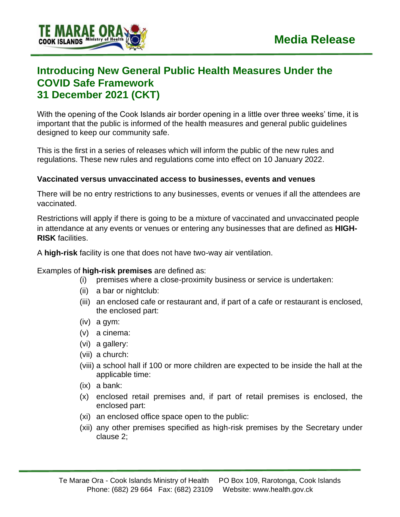

# **Introducing New General Public Health Measures Under the COVID Safe Framework 31 December 2021 (CKT)**

With the opening of the Cook Islands air border opening in a little over three weeks' time, it is important that the public is informed of the health measures and general public guidelines designed to keep our community safe.

This is the first in a series of releases which will inform the public of the new rules and regulations. These new rules and regulations come into effect on 10 January 2022.

### **Vaccinated versus unvaccinated access to businesses, events and venues**

There will be no entry restrictions to any businesses, events or venues if all the attendees are vaccinated.

Restrictions will apply if there is going to be a mixture of vaccinated and unvaccinated people in attendance at any events or venues or entering any businesses that are defined as **HIGH-RISK** facilities.

A **high-risk** facility is one that does not have two-way air ventilation.

Examples of **high-risk premises** are defined as:

- (i) premises where a close-proximity business or service is undertaken:
- (ii) a bar or nightclub:
- (iii) an enclosed cafe or restaurant and, if part of a cafe or restaurant is enclosed, the enclosed part:
- (iv) a gym:
- (v) a cinema:
- (vi) a gallery:
- (vii) a church:
- (viii) a school hall if 100 or more children are expected to be inside the hall at the applicable time:
- (ix) a bank:
- (x) enclosed retail premises and, if part of retail premises is enclosed, the enclosed part:
- (xi) an enclosed office space open to the public:
- (xii) any other premises specified as high-risk premises by the Secretary under clause 2;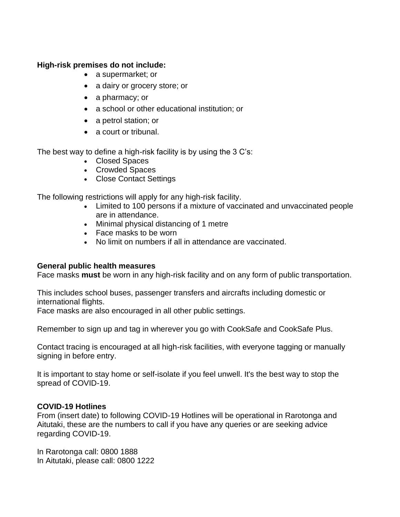#### **High-risk premises do not include:**

- a supermarket; or
- a dairy or grocery store; or
- a pharmacy; or
- a school or other educational institution; or
- a petrol station; or
- a court or tribunal.

The best way to define a high-risk facility is by using the 3 C's:

- Closed Spaces
- Crowded Spaces
- Close Contact Settings

The following restrictions will apply for any high-risk facility.

- Limited to 100 persons if a mixture of vaccinated and unvaccinated people are in attendance.
- Minimal physical distancing of 1 metre
- Face masks to be worn
- No limit on numbers if all in attendance are vaccinated.

#### **General public health measures**

Face masks **must** be worn in any high-risk facility and on any form of public transportation.

This includes school buses, passenger transfers and aircrafts including domestic or international flights.

Face masks are also encouraged in all other public settings.

Remember to sign up and tag in wherever you go with CookSafe and CookSafe Plus.

Contact tracing is encouraged at all high-risk facilities, with everyone tagging or manually signing in before entry.

It is important to stay home or self-isolate if you feel unwell. It's the best way to stop the spread of COVID-19.

## **COVID-19 Hotlines**

From (insert date) to following COVID-19 Hotlines will be operational in Rarotonga and Aitutaki, these are the numbers to call if you have any queries or are seeking advice regarding COVID-19.

In Rarotonga call: 0800 1888 In Aitutaki, please call: 0800 1222